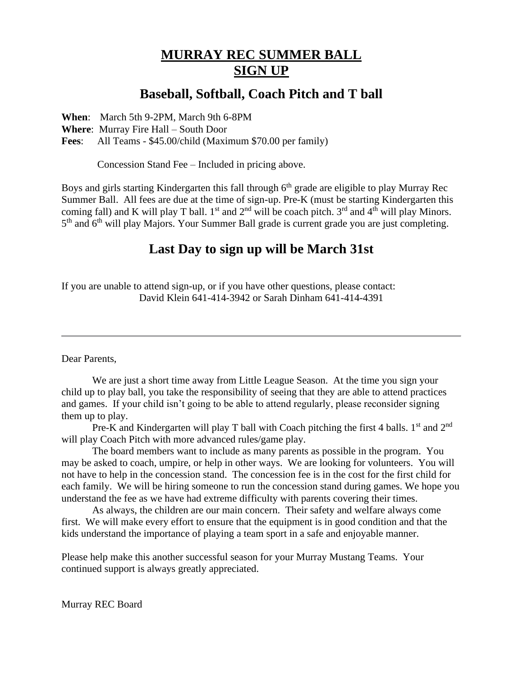## **MURRAY REC SUMMER BALL SIGN UP**

## **Baseball, Softball, Coach Pitch and T ball**

**When**: March 5th 9-2PM, March 9th 6-8PM

**Where**: Murray Fire Hall – South Door

**Fees**: All Teams - \$45.00/child (Maximum \$70.00 per family)

Concession Stand Fee – Included in pricing above.

Boys and girls starting Kindergarten this fall through 6<sup>th</sup> grade are eligible to play Murray Rec Summer Ball. All fees are due at the time of sign-up. Pre-K (must be starting Kindergarten this coming fall) and K will play T ball. 1<sup>st</sup> and  $2<sup>nd</sup>$  will be coach pitch. 3<sup>rd</sup> and 4<sup>th</sup> will play Minors. 5<sup>th</sup> and 6<sup>th</sup> will play Majors. Your Summer Ball grade is current grade you are just completing.

## **Last Day to sign up will be March 31st**

If you are unable to attend sign-up, or if you have other questions, please contact: David Klein 641-414-3942 or Sarah Dinham 641-414-4391

Dear Parents,

We are just a short time away from Little League Season. At the time you sign your child up to play ball, you take the responsibility of seeing that they are able to attend practices and games. If your child isn't going to be able to attend regularly, please reconsider signing them up to play.

Pre-K and Kindergarten will play T ball with Coach pitching the first 4 balls.  $1<sup>st</sup>$  and  $2<sup>nd</sup>$ will play Coach Pitch with more advanced rules/game play.

The board members want to include as many parents as possible in the program. You may be asked to coach, umpire, or help in other ways. We are looking for volunteers. You will not have to help in the concession stand. The concession fee is in the cost for the first child for each family. We will be hiring someone to run the concession stand during games. We hope you understand the fee as we have had extreme difficulty with parents covering their times.

As always, the children are our main concern. Their safety and welfare always come first. We will make every effort to ensure that the equipment is in good condition and that the kids understand the importance of playing a team sport in a safe and enjoyable manner.

Please help make this another successful season for your Murray Mustang Teams. Your continued support is always greatly appreciated.

Murray REC Board